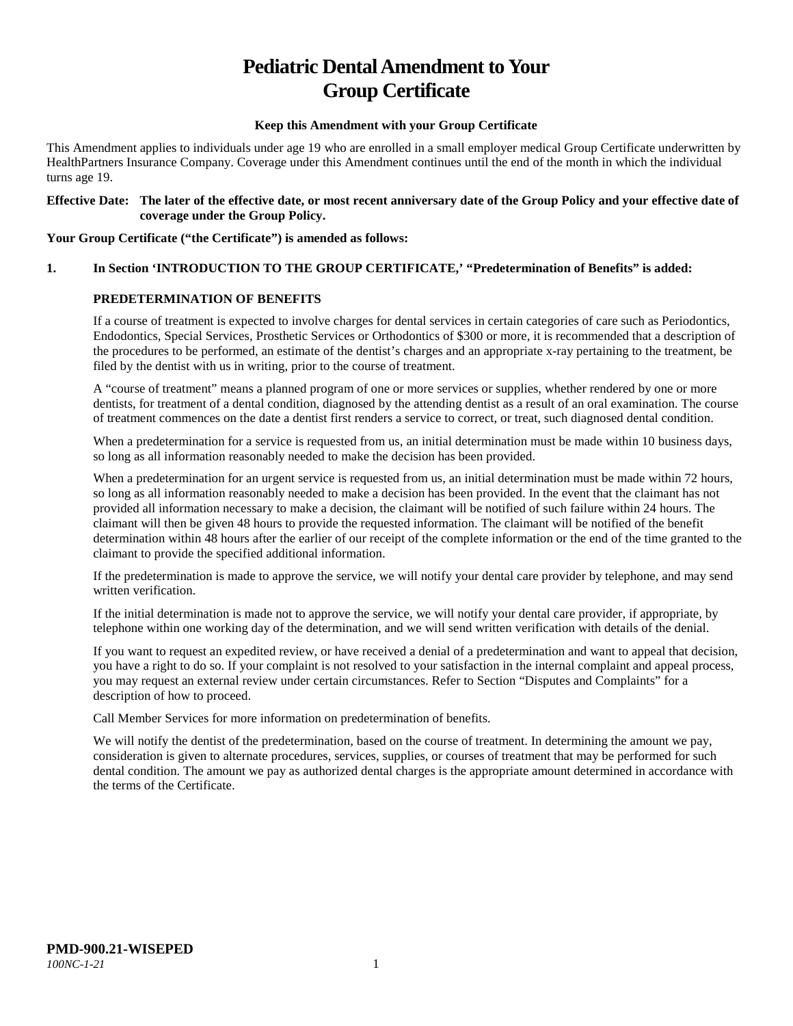# **Pediatric Dental Amendment to Your Group Certificate**

## **Keep this Amendment with your Group Certificate**

This Amendment applies to individuals under age 19 who are enrolled in a small employer medical Group Certificate underwritten by HealthPartners Insurance Company. Coverage under this Amendment continues until the end of the month in which the individual turns age 19.

#### **Effective Date: The later of the effective date, or most recent anniversary date of the Group Policy and your effective date of coverage under the Group Policy.**

#### **Your Group Certificate ("the Certificate") is amended as follows:**

# **1. In Section 'INTRODUCTION TO THE GROUP CERTIFICATE,' "Predetermination of Benefits" is added:**

## **PREDETERMINATION OF BENEFITS**

If a course of treatment is expected to involve charges for dental services in certain categories of care such as Periodontics, Endodontics, Special Services, Prosthetic Services or Orthodontics of \$300 or more, it is recommended that a description of the procedures to be performed, an estimate of the dentist's charges and an appropriate x-ray pertaining to the treatment, be filed by the dentist with us in writing, prior to the course of treatment.

A "course of treatment" means a planned program of one or more services or supplies, whether rendered by one or more dentists, for treatment of a dental condition, diagnosed by the attending dentist as a result of an oral examination. The course of treatment commences on the date a dentist first renders a service to correct, or treat, such diagnosed dental condition.

When a predetermination for a service is requested from us, an initial determination must be made within 10 business days, so long as all information reasonably needed to make the decision has been provided.

When a predetermination for an urgent service is requested from us, an initial determination must be made within 72 hours, so long as all information reasonably needed to make a decision has been provided. In the event that the claimant has not provided all information necessary to make a decision, the claimant will be notified of such failure within 24 hours. The claimant will then be given 48 hours to provide the requested information. The claimant will be notified of the benefit determination within 48 hours after the earlier of our receipt of the complete information or the end of the time granted to the claimant to provide the specified additional information.

If the predetermination is made to approve the service, we will notify your dental care provider by telephone, and may send written verification.

If the initial determination is made not to approve the service, we will notify your dental care provider, if appropriate, by telephone within one working day of the determination, and we will send written verification with details of the denial.

If you want to request an expedited review, or have received a denial of a predetermination and want to appeal that decision, you have a right to do so. If your complaint is not resolved to your satisfaction in the internal complaint and appeal process, you may request an external review under certain circumstances. Refer to Section "Disputes and Complaints" for a description of how to proceed.

Call Member Services for more information on predetermination of benefits.

We will notify the dentist of the predetermination, based on the course of treatment. In determining the amount we pay, consideration is given to alternate procedures, services, supplies, or courses of treatment that may be performed for such dental condition. The amount we pay as authorized dental charges is the appropriate amount determined in accordance with the terms of the Certificate.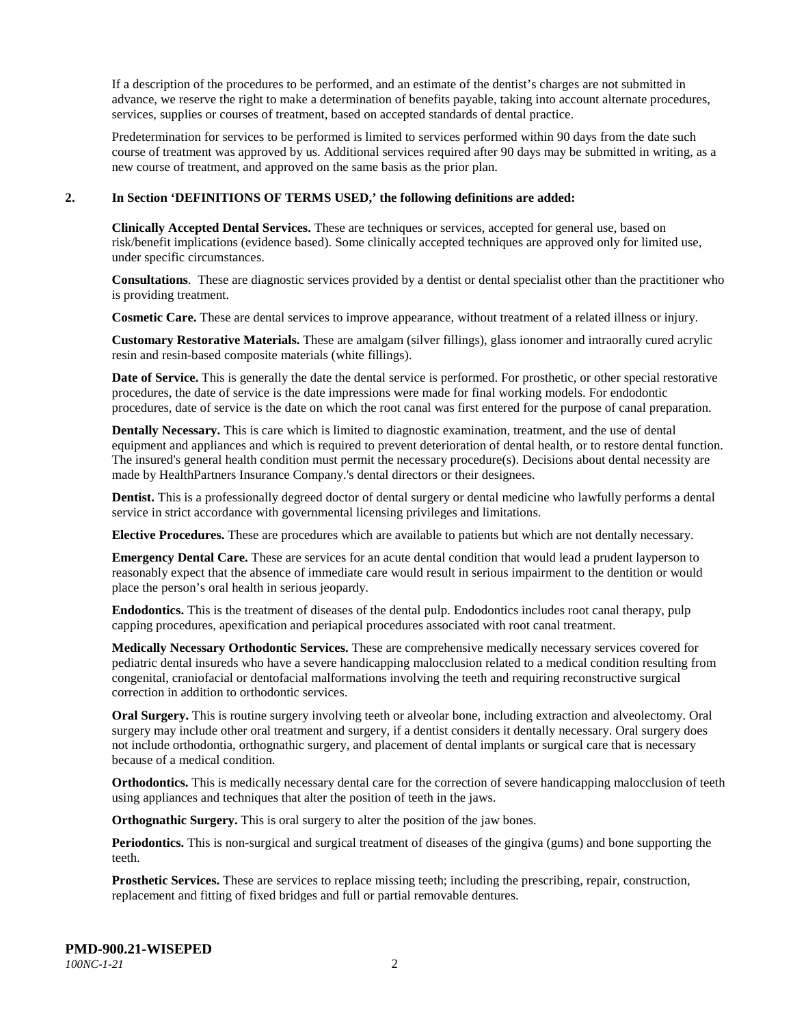If a description of the procedures to be performed, and an estimate of the dentist's charges are not submitted in advance, we reserve the right to make a determination of benefits payable, taking into account alternate procedures, services, supplies or courses of treatment, based on accepted standards of dental practice.

Predetermination for services to be performed is limited to services performed within 90 days from the date such course of treatment was approved by us. Additional services required after 90 days may be submitted in writing, as a new course of treatment, and approved on the same basis as the prior plan.

#### **2. In Section 'DEFINITIONS OF TERMS USED,' the following definitions are added:**

**Clinically Accepted Dental Services.** These are techniques or services, accepted for general use, based on risk/benefit implications (evidence based). Some clinically accepted techniques are approved only for limited use, under specific circumstances.

**Consultations**. These are diagnostic services provided by a dentist or dental specialist other than the practitioner who is providing treatment.

**Cosmetic Care.** These are dental services to improve appearance, without treatment of a related illness or injury.

**Customary Restorative Materials.** These are amalgam (silver fillings), glass ionomer and intraorally cured acrylic resin and resin-based composite materials (white fillings).

**Date of Service.** This is generally the date the dental service is performed. For prosthetic, or other special restorative procedures, the date of service is the date impressions were made for final working models. For endodontic procedures, date of service is the date on which the root canal was first entered for the purpose of canal preparation.

**Dentally Necessary.** This is care which is limited to diagnostic examination, treatment, and the use of dental equipment and appliances and which is required to prevent deterioration of dental health, or to restore dental function. The insured's general health condition must permit the necessary procedure(s). Decisions about dental necessity are made by HealthPartners Insurance Company.'s dental directors or their designees.

**Dentist.** This is a professionally degreed doctor of dental surgery or dental medicine who lawfully performs a dental service in strict accordance with governmental licensing privileges and limitations.

**Elective Procedures.** These are procedures which are available to patients but which are not dentally necessary.

**Emergency Dental Care.** These are services for an acute dental condition that would lead a prudent layperson to reasonably expect that the absence of immediate care would result in serious impairment to the dentition or would place the person's oral health in serious jeopardy.

**Endodontics.** This is the treatment of diseases of the dental pulp. Endodontics includes root canal therapy, pulp capping procedures, apexification and periapical procedures associated with root canal treatment.

**Medically Necessary Orthodontic Services.** These are comprehensive medically necessary services covered for pediatric dental insureds who have a severe handicapping malocclusion related to a medical condition resulting from congenital, craniofacial or dentofacial malformations involving the teeth and requiring reconstructive surgical correction in addition to orthodontic services.

**Oral Surgery.** This is routine surgery involving teeth or alveolar bone, including extraction and alveolectomy. Oral surgery may include other oral treatment and surgery, if a dentist considers it dentally necessary. Oral surgery does not include orthodontia, orthognathic surgery, and placement of dental implants or surgical care that is necessary because of a medical condition.

**Orthodontics.** This is medically necessary dental care for the correction of severe handicapping malocclusion of teeth using appliances and techniques that alter the position of teeth in the jaws.

**Orthognathic Surgery.** This is oral surgery to alter the position of the jaw bones.

**Periodontics.** This is non-surgical and surgical treatment of diseases of the gingiva (gums) and bone supporting the teeth.

**Prosthetic Services.** These are services to replace missing teeth; including the prescribing, repair, construction, replacement and fitting of fixed bridges and full or partial removable dentures.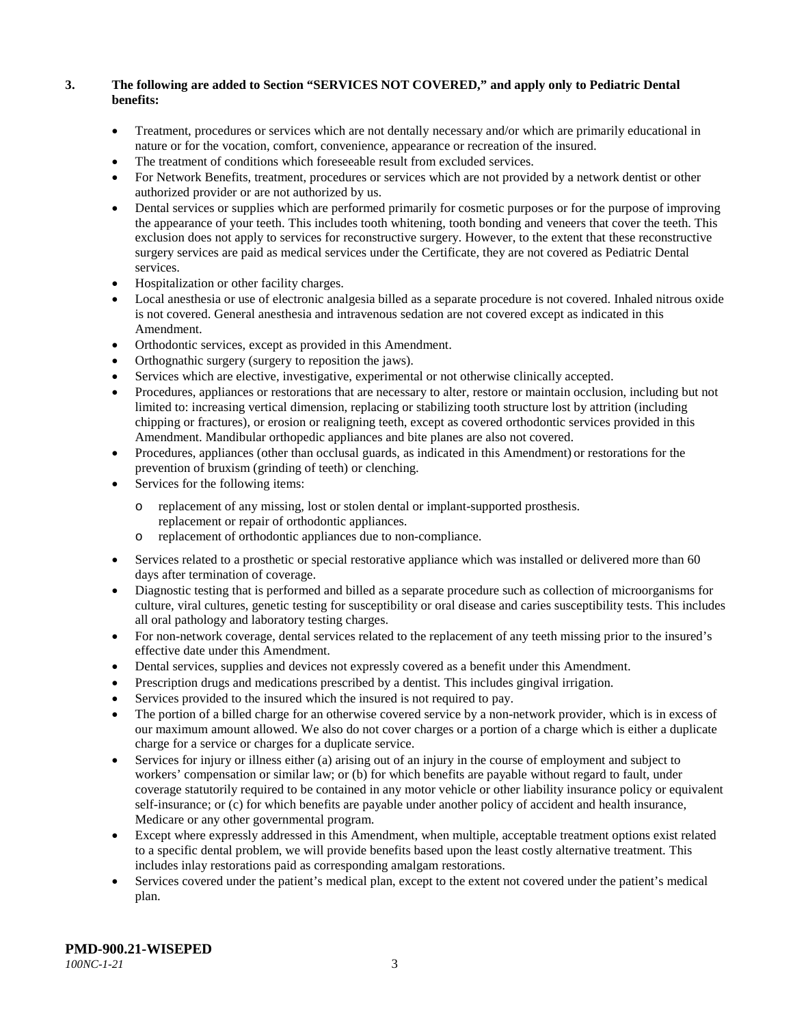## **3. The following are added to Section "SERVICES NOT COVERED," and apply only to Pediatric Dental benefits:**

- Treatment, procedures or services which are not dentally necessary and/or which are primarily educational in nature or for the vocation, comfort, convenience, appearance or recreation of the insured.
- The treatment of conditions which foreseeable result from excluded services.
- For Network Benefits, treatment, procedures or services which are not provided by a network dentist or other authorized provider or are not authorized by us.
- Dental services or supplies which are performed primarily for cosmetic purposes or for the purpose of improving the appearance of your teeth. This includes tooth whitening, tooth bonding and veneers that cover the teeth. This exclusion does not apply to services for reconstructive surgery. However, to the extent that these reconstructive surgery services are paid as medical services under the Certificate, they are not covered as Pediatric Dental services.
- Hospitalization or other facility charges.
- Local anesthesia or use of electronic analgesia billed as a separate procedure is not covered. Inhaled nitrous oxide is not covered. General anesthesia and intravenous sedation are not covered except as indicated in this Amendment.
- Orthodontic services, except as provided in this Amendment.
- Orthognathic surgery (surgery to reposition the jaws).
- Services which are elective, investigative, experimental or not otherwise clinically accepted.
- Procedures, appliances or restorations that are necessary to alter, restore or maintain occlusion, including but not limited to: increasing vertical dimension, replacing or stabilizing tooth structure lost by attrition (including chipping or fractures), or erosion or realigning teeth, except as covered orthodontic services provided in this Amendment. Mandibular orthopedic appliances and bite planes are also not covered.
- Procedures, appliances (other than occlusal guards, as indicated in this Amendment) or restorations for the prevention of bruxism (grinding of teeth) or clenching.
- Services for the following items:
	- o replacement of any missing, lost or stolen dental or implant-supported prosthesis. replacement or repair of orthodontic appliances.
	- o replacement of orthodontic appliances due to non-compliance.
- Services related to a prosthetic or special restorative appliance which was installed or delivered more than 60 days after termination of coverage.
- Diagnostic testing that is performed and billed as a separate procedure such as collection of microorganisms for culture, viral cultures, genetic testing for susceptibility or oral disease and caries susceptibility tests. This includes all oral pathology and laboratory testing charges.
- For non-network coverage, dental services related to the replacement of any teeth missing prior to the insured's effective date under this Amendment.
- Dental services, supplies and devices not expressly covered as a benefit under this Amendment.
- Prescription drugs and medications prescribed by a dentist. This includes gingival irrigation.
- Services provided to the insured which the insured is not required to pay.
- The portion of a billed charge for an otherwise covered service by a non-network provider, which is in excess of our maximum amount allowed. We also do not cover charges or a portion of a charge which is either a duplicate charge for a service or charges for a duplicate service.
- Services for injury or illness either (a) arising out of an injury in the course of employment and subject to workers' compensation or similar law; or (b) for which benefits are payable without regard to fault, under coverage statutorily required to be contained in any motor vehicle or other liability insurance policy or equivalent self-insurance; or (c) for which benefits are payable under another policy of accident and health insurance, Medicare or any other governmental program.
- Except where expressly addressed in this Amendment, when multiple, acceptable treatment options exist related to a specific dental problem, we will provide benefits based upon the least costly alternative treatment. This includes inlay restorations paid as corresponding amalgam restorations.
- Services covered under the patient's medical plan, except to the extent not covered under the patient's medical plan.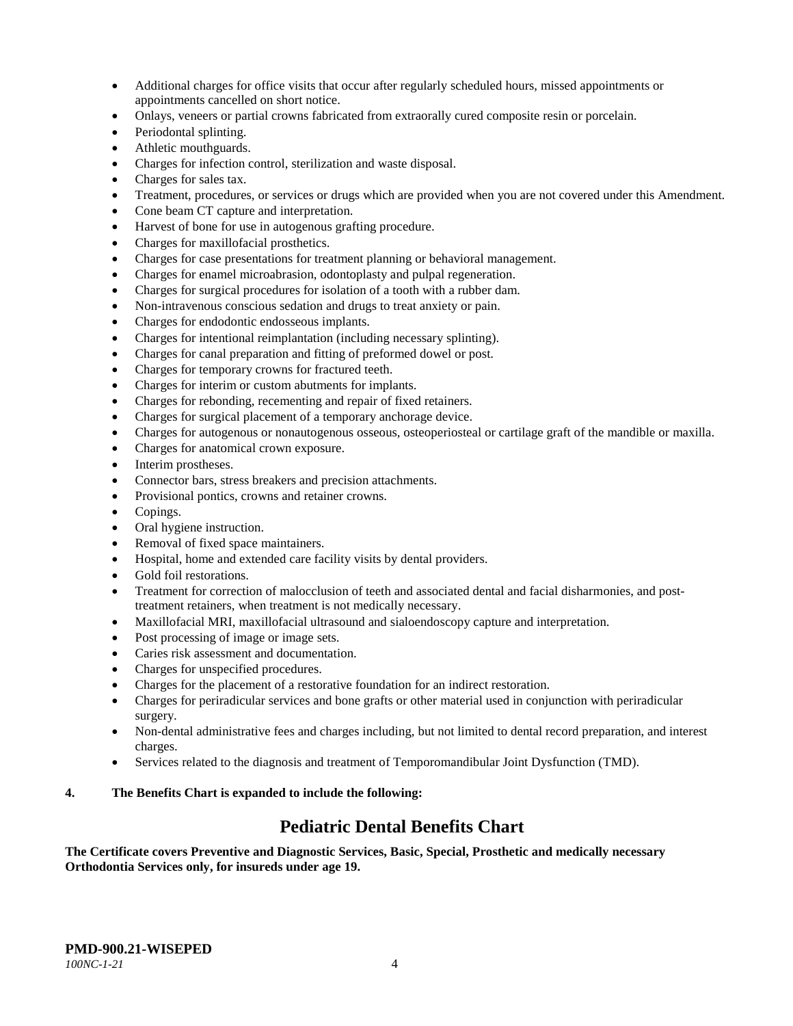- Additional charges for office visits that occur after regularly scheduled hours, missed appointments or appointments cancelled on short notice.
- Onlays, veneers or partial crowns fabricated from extraorally cured composite resin or porcelain.
- Periodontal splinting.
- Athletic mouthguards.
- Charges for infection control, sterilization and waste disposal.
- Charges for sales tax.
- Treatment, procedures, or services or drugs which are provided when you are not covered under this Amendment.
- Cone beam CT capture and interpretation.
- Harvest of bone for use in autogenous grafting procedure.
- Charges for maxillofacial prosthetics.
- Charges for case presentations for treatment planning or behavioral management.
- Charges for enamel microabrasion, odontoplasty and pulpal regeneration.
- Charges for surgical procedures for isolation of a tooth with a rubber dam.
- Non-intravenous conscious sedation and drugs to treat anxiety or pain.
- Charges for endodontic endosseous implants.
- Charges for intentional reimplantation (including necessary splinting).
- Charges for canal preparation and fitting of preformed dowel or post.
- Charges for temporary crowns for fractured teeth.
- Charges for interim or custom abutments for implants.
- Charges for rebonding, recementing and repair of fixed retainers.
- Charges for surgical placement of a temporary anchorage device.
- Charges for autogenous or nonautogenous osseous, osteoperiosteal or cartilage graft of the mandible or maxilla.
- Charges for anatomical crown exposure.
- Interim prostheses.
- Connector bars, stress breakers and precision attachments.
- Provisional pontics, crowns and retainer crowns.
- Copings.
- Oral hygiene instruction.
- Removal of fixed space maintainers.
- Hospital, home and extended care facility visits by dental providers.
- Gold foil restorations.
- Treatment for correction of malocclusion of teeth and associated dental and facial disharmonies, and posttreatment retainers, when treatment is not medically necessary.
- Maxillofacial MRI, maxillofacial ultrasound and sialoendoscopy capture and interpretation.
- Post processing of image or image sets.
- Caries risk assessment and documentation.
- Charges for unspecified procedures.
- Charges for the placement of a restorative foundation for an indirect restoration.
- Charges for periradicular services and bone grafts or other material used in conjunction with periradicular surgery.
- Non-dental administrative fees and charges including, but not limited to dental record preparation, and interest charges.
- Services related to the diagnosis and treatment of Temporomandibular Joint Dysfunction (TMD).

# **4. The Benefits Chart is expanded to include the following:**

# **Pediatric Dental Benefits Chart**

**The Certificate covers Preventive and Diagnostic Services, Basic, Special, Prosthetic and medically necessary Orthodontia Services only, for insureds under age 19.**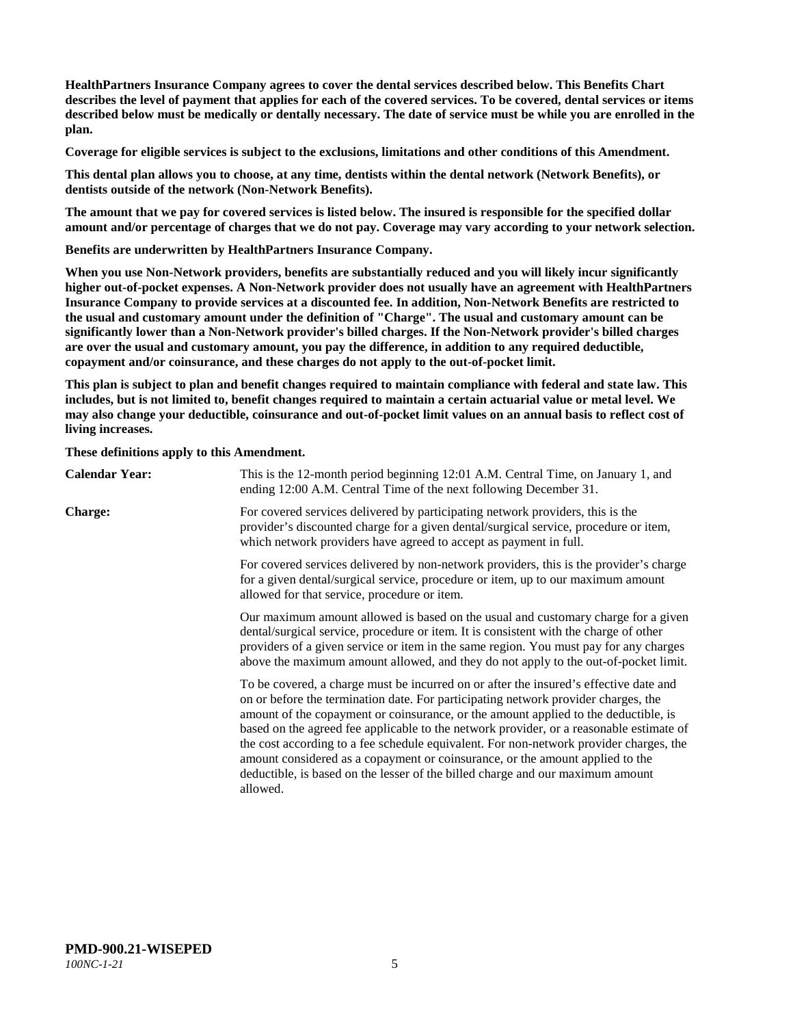**HealthPartners Insurance Company agrees to cover the dental services described below. This Benefits Chart describes the level of payment that applies for each of the covered services. To be covered, dental services or items described below must be medically or dentally necessary. The date of service must be while you are enrolled in the plan.**

**Coverage for eligible services is subject to the exclusions, limitations and other conditions of this Amendment.**

**This dental plan allows you to choose, at any time, dentists within the dental network (Network Benefits), or dentists outside of the network (Non-Network Benefits).**

**The amount that we pay for covered services is listed below. The insured is responsible for the specified dollar amount and/or percentage of charges that we do not pay. Coverage may vary according to your network selection.**

**Benefits are underwritten by HealthPartners Insurance Company.**

**When you use Non-Network providers, benefits are substantially reduced and you will likely incur significantly higher out-of-pocket expenses. A Non-Network provider does not usually have an agreement with HealthPartners Insurance Company to provide services at a discounted fee. In addition, Non-Network Benefits are restricted to the usual and customary amount under the definition of "Charge". The usual and customary amount can be significantly lower than a Non-Network provider's billed charges. If the Non-Network provider's billed charges are over the usual and customary amount, you pay the difference, in addition to any required deductible, copayment and/or coinsurance, and these charges do not apply to the out-of-pocket limit.**

**This plan is subject to plan and benefit changes required to maintain compliance with federal and state law. This includes, but is not limited to, benefit changes required to maintain a certain actuarial value or metal level. We may also change your deductible, coinsurance and out-of-pocket limit values on an annual basis to reflect cost of living increases.**

**These definitions apply to this Amendment.**

| <b>Calendar Year:</b> | This is the 12-month period beginning 12:01 A.M. Central Time, on January 1, and<br>ending 12:00 A.M. Central Time of the next following December 31.                                                                                                                                                                                                                                                                                                                                                                                                                                                                                  |
|-----------------------|----------------------------------------------------------------------------------------------------------------------------------------------------------------------------------------------------------------------------------------------------------------------------------------------------------------------------------------------------------------------------------------------------------------------------------------------------------------------------------------------------------------------------------------------------------------------------------------------------------------------------------------|
| <b>Charge:</b>        | For covered services delivered by participating network providers, this is the<br>provider's discounted charge for a given dental/surgical service, procedure or item,<br>which network providers have agreed to accept as payment in full.                                                                                                                                                                                                                                                                                                                                                                                            |
|                       | For covered services delivered by non-network providers, this is the provider's charge<br>for a given dental/surgical service, procedure or item, up to our maximum amount<br>allowed for that service, procedure or item.                                                                                                                                                                                                                                                                                                                                                                                                             |
|                       | Our maximum amount allowed is based on the usual and customary charge for a given<br>dental/surgical service, procedure or item. It is consistent with the charge of other<br>providers of a given service or item in the same region. You must pay for any charges<br>above the maximum amount allowed, and they do not apply to the out-of-pocket limit.                                                                                                                                                                                                                                                                             |
|                       | To be covered, a charge must be incurred on or after the insured's effective date and<br>on or before the termination date. For participating network provider charges, the<br>amount of the copayment or coinsurance, or the amount applied to the deductible, is<br>based on the agreed fee applicable to the network provider, or a reasonable estimate of<br>the cost according to a fee schedule equivalent. For non-network provider charges, the<br>amount considered as a copayment or coinsurance, or the amount applied to the<br>deductible, is based on the lesser of the billed charge and our maximum amount<br>allowed. |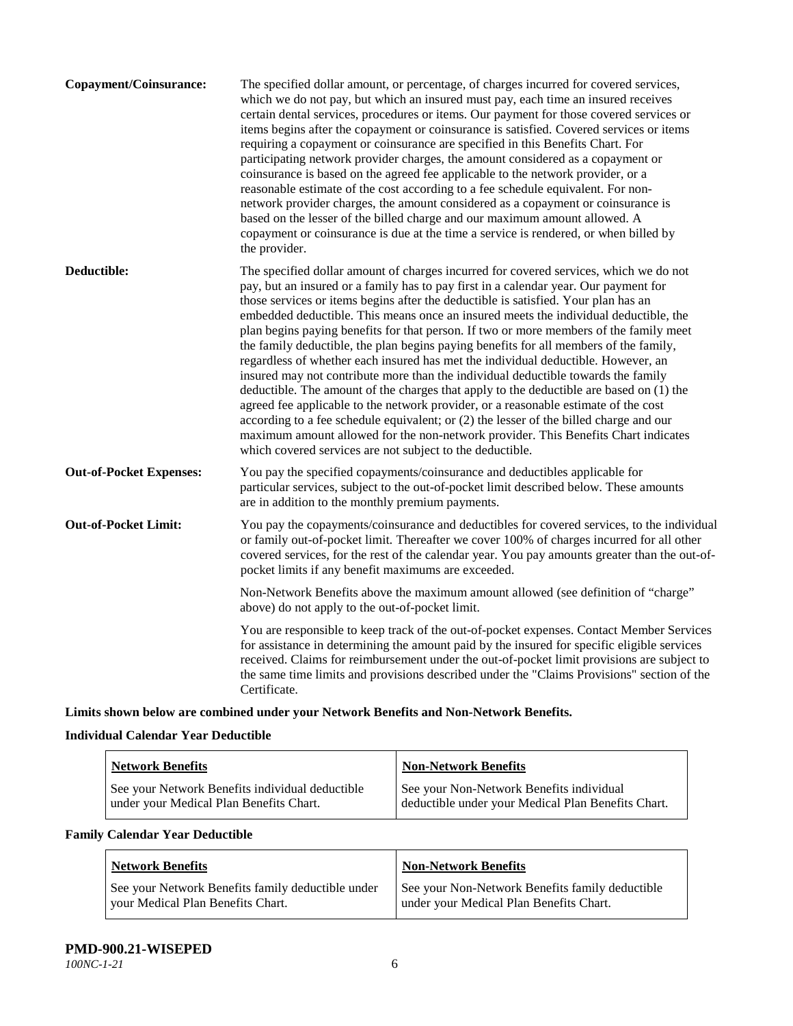| Copayment/Coinsurance:         | The specified dollar amount, or percentage, of charges incurred for covered services,<br>which we do not pay, but which an insured must pay, each time an insured receives<br>certain dental services, procedures or items. Our payment for those covered services or<br>items begins after the copayment or coinsurance is satisfied. Covered services or items<br>requiring a copayment or coinsurance are specified in this Benefits Chart. For<br>participating network provider charges, the amount considered as a copayment or<br>coinsurance is based on the agreed fee applicable to the network provider, or a<br>reasonable estimate of the cost according to a fee schedule equivalent. For non-<br>network provider charges, the amount considered as a copayment or coinsurance is<br>based on the lesser of the billed charge and our maximum amount allowed. A<br>copayment or coinsurance is due at the time a service is rendered, or when billed by<br>the provider.                                                                                                                                                                 |
|--------------------------------|---------------------------------------------------------------------------------------------------------------------------------------------------------------------------------------------------------------------------------------------------------------------------------------------------------------------------------------------------------------------------------------------------------------------------------------------------------------------------------------------------------------------------------------------------------------------------------------------------------------------------------------------------------------------------------------------------------------------------------------------------------------------------------------------------------------------------------------------------------------------------------------------------------------------------------------------------------------------------------------------------------------------------------------------------------------------------------------------------------------------------------------------------------|
| Deductible:                    | The specified dollar amount of charges incurred for covered services, which we do not<br>pay, but an insured or a family has to pay first in a calendar year. Our payment for<br>those services or items begins after the deductible is satisfied. Your plan has an<br>embedded deductible. This means once an insured meets the individual deductible, the<br>plan begins paying benefits for that person. If two or more members of the family meet<br>the family deductible, the plan begins paying benefits for all members of the family,<br>regardless of whether each insured has met the individual deductible. However, an<br>insured may not contribute more than the individual deductible towards the family<br>deductible. The amount of the charges that apply to the deductible are based on (1) the<br>agreed fee applicable to the network provider, or a reasonable estimate of the cost<br>according to a fee schedule equivalent; or (2) the lesser of the billed charge and our<br>maximum amount allowed for the non-network provider. This Benefits Chart indicates<br>which covered services are not subject to the deductible. |
| <b>Out-of-Pocket Expenses:</b> | You pay the specified copayments/coinsurance and deductibles applicable for<br>particular services, subject to the out-of-pocket limit described below. These amounts<br>are in addition to the monthly premium payments.                                                                                                                                                                                                                                                                                                                                                                                                                                                                                                                                                                                                                                                                                                                                                                                                                                                                                                                               |
| <b>Out-of-Pocket Limit:</b>    | You pay the copayments/coinsurance and deductibles for covered services, to the individual<br>or family out-of-pocket limit. Thereafter we cover 100% of charges incurred for all other<br>covered services, for the rest of the calendar year. You pay amounts greater than the out-of-<br>pocket limits if any benefit maximums are exceeded.                                                                                                                                                                                                                                                                                                                                                                                                                                                                                                                                                                                                                                                                                                                                                                                                         |
|                                | Non-Network Benefits above the maximum amount allowed (see definition of "charge"<br>above) do not apply to the out-of-pocket limit.                                                                                                                                                                                                                                                                                                                                                                                                                                                                                                                                                                                                                                                                                                                                                                                                                                                                                                                                                                                                                    |
|                                | You are responsible to keep track of the out-of-pocket expenses. Contact Member Services<br>for assistance in determining the amount paid by the insured for specific eligible services<br>received. Claims for reimbursement under the out-of-pocket limit provisions are subject to<br>the same time limits and provisions described under the "Claims Provisions" section of the<br>Certificate.                                                                                                                                                                                                                                                                                                                                                                                                                                                                                                                                                                                                                                                                                                                                                     |

**Limits shown below are combined under your Network Benefits and Non-Network Benefits.**

# **Individual Calendar Year Deductible**

| <b>Network Benefits</b>                         | <b>Non-Network Benefits</b>                        |
|-------------------------------------------------|----------------------------------------------------|
| See your Network Benefits individual deductible | See your Non-Network Benefits individual           |
| under your Medical Plan Benefits Chart.         | deductible under your Medical Plan Benefits Chart. |

# **Family Calendar Year Deductible**

| <b>Network Benefits</b>                           | <b>Non-Network Benefits</b>                     |
|---------------------------------------------------|-------------------------------------------------|
| See your Network Benefits family deductible under | See your Non-Network Benefits family deductible |
| vour Medical Plan Benefits Chart.                 | under your Medical Plan Benefits Chart.         |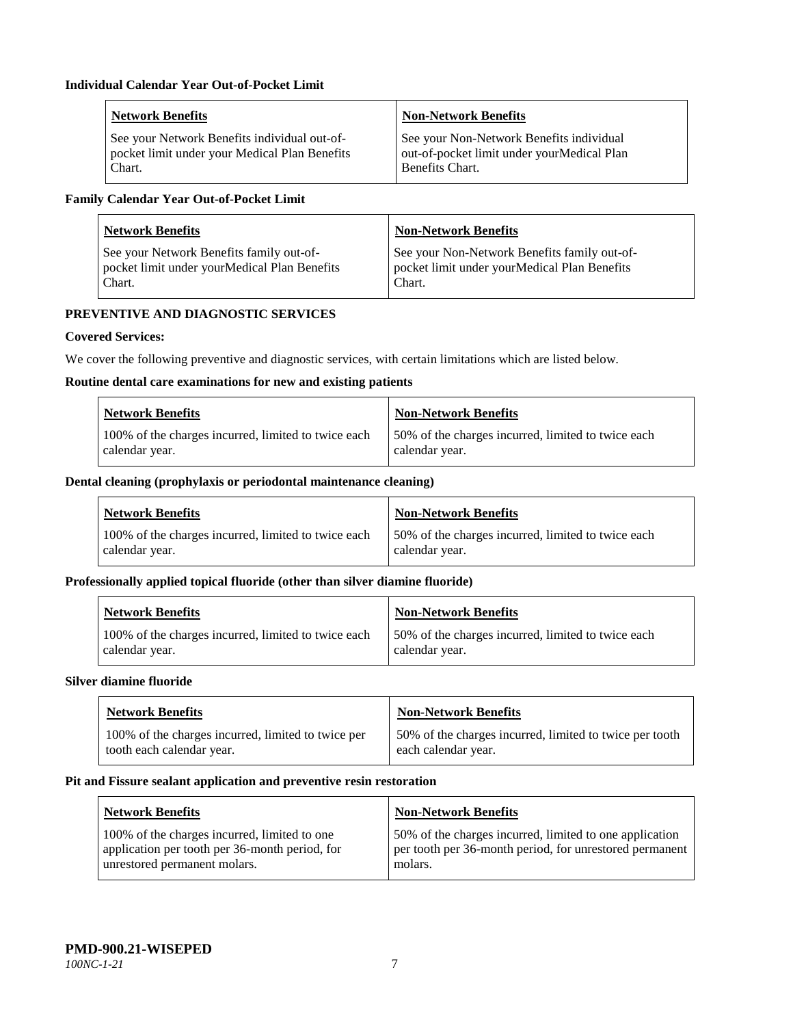| <b>Network Benefits</b>                       | <b>Non-Network Benefits</b>                |
|-----------------------------------------------|--------------------------------------------|
| See your Network Benefits individual out-of-  | See your Non-Network Benefits individual   |
| pocket limit under your Medical Plan Benefits | out-of-pocket limit under yourMedical Plan |
| Chart.                                        | Benefits Chart.                            |

# **Family Calendar Year Out-of-Pocket Limit**

| <b>Network Benefits</b>                      | <b>Non-Network Benefits</b>                  |
|----------------------------------------------|----------------------------------------------|
| See your Network Benefits family out-of-     | See your Non-Network Benefits family out-of- |
| pocket limit under yourMedical Plan Benefits | pocket limit under yourMedical Plan Benefits |
| Chart.                                       | Chart.                                       |

# **PREVENTIVE AND DIAGNOSTIC SERVICES**

# **Covered Services:**

We cover the following preventive and diagnostic services, with certain limitations which are listed below.

#### **Routine dental care examinations for new and existing patients**

| <b>Network Benefits</b>                             | <b>Non-Network Benefits</b>                        |
|-----------------------------------------------------|----------------------------------------------------|
| 100% of the charges incurred, limited to twice each | 50% of the charges incurred, limited to twice each |
| calendar year.                                      | calendar year.                                     |

## **Dental cleaning (prophylaxis or periodontal maintenance cleaning)**

| Network Benefits                                    | Non-Network Benefits                                |
|-----------------------------------------------------|-----------------------------------------------------|
| 100% of the charges incurred, limited to twice each | 150% of the charges incurred, limited to twice each |
| calendar year.                                      | calendar year.                                      |

## **Professionally applied topical fluoride (other than silver diamine fluoride)**

| <b>Network Benefits</b>                             | <b>Non-Network Benefits</b>                         |
|-----------------------------------------------------|-----------------------------------------------------|
| 100% of the charges incurred, limited to twice each | 150% of the charges incurred, limited to twice each |
| calendar year.                                      | calendar year.                                      |

#### **Silver diamine fluoride**

| <b>Network Benefits</b>                            | <b>Non-Network Benefits</b>                             |
|----------------------------------------------------|---------------------------------------------------------|
| 100% of the charges incurred, limited to twice per | 50% of the charges incurred, limited to twice per tooth |
| tooth each calendar year.                          | each calendar year.                                     |

## **Pit and Fissure sealant application and preventive resin restoration**

| Network Benefits                                                                                                               | <b>Non-Network Benefits</b>                                                                                                   |
|--------------------------------------------------------------------------------------------------------------------------------|-------------------------------------------------------------------------------------------------------------------------------|
| 100% of the charges incurred, limited to one<br>application per tooth per 36-month period, for<br>unrestored permanent molars. | 50% of the charges incurred, limited to one application<br>per tooth per 36-month period, for unrestored permanent<br>molars. |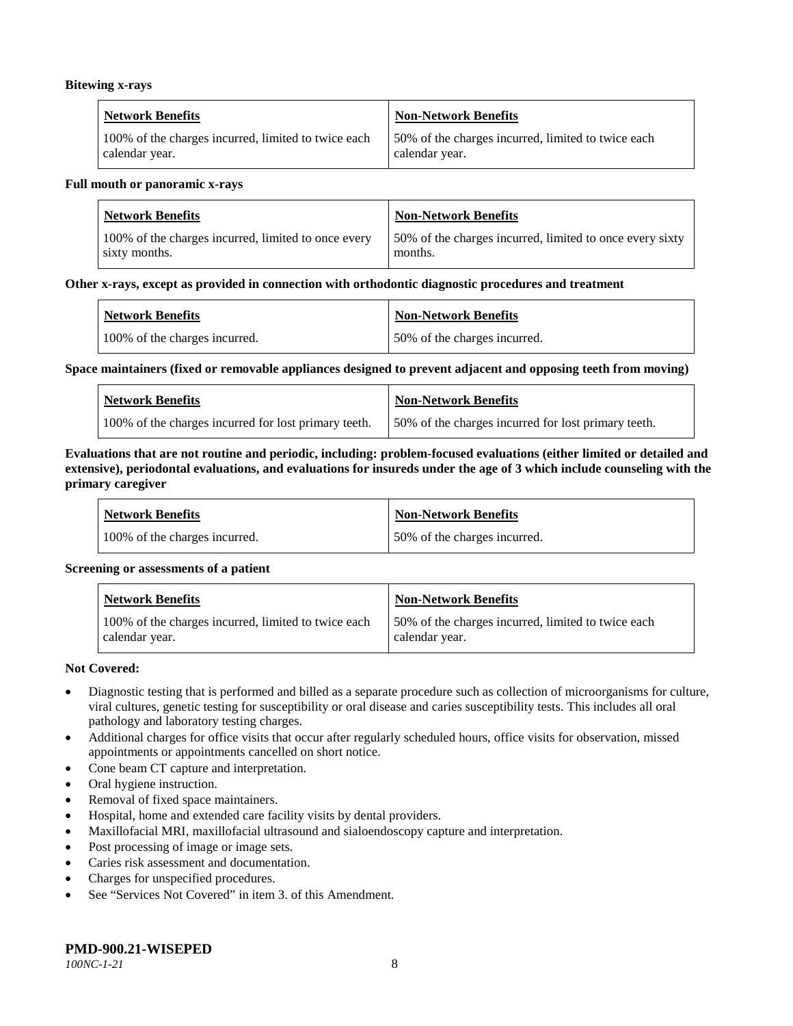#### **Bitewing x-rays**

| <b>Network Benefits</b>                             | Non-Network Benefits                               |
|-----------------------------------------------------|----------------------------------------------------|
| 100% of the charges incurred, limited to twice each | 50% of the charges incurred, limited to twice each |
| calendar year.                                      | calendar year.                                     |

#### **Full mouth or panoramic x-rays**

| <b>Network Benefits</b>                             | <b>Non-Network Benefits</b>                              |
|-----------------------------------------------------|----------------------------------------------------------|
| 100% of the charges incurred, limited to once every | 50% of the charges incurred, limited to once every sixty |
| sixty months.                                       | months.                                                  |

#### **Other x-rays, except as provided in connection with orthodontic diagnostic procedures and treatment**

| <b>Network Benefits</b>       | <b>Non-Network Benefits</b>  |
|-------------------------------|------------------------------|
| 100% of the charges incurred. | 50% of the charges incurred. |

#### **Space maintainers (fixed or removable appliances designed to prevent adjacent and opposing teeth from moving)**

| <b>Network Benefits</b>                              | Non-Network Benefits                                |
|------------------------------------------------------|-----------------------------------------------------|
| 100% of the charges incurred for lost primary teeth. | 50% of the charges incurred for lost primary teeth. |

#### **Evaluations that are not routine and periodic, including: problem-focused evaluations (either limited or detailed and extensive), periodontal evaluations, and evaluations for insureds under the age of 3 which include counseling with the primary caregiver**

| <b>Network Benefits</b>       | <b>Non-Network Benefits</b>  |
|-------------------------------|------------------------------|
| 100% of the charges incurred. | 50% of the charges incurred. |

#### **Screening or assessments of a patient**

| <b>Network Benefits</b>                                               | Non-Network Benefits                                                 |
|-----------------------------------------------------------------------|----------------------------------------------------------------------|
| 100% of the charges incurred, limited to twice each<br>calendar year. | 50% of the charges incurred, limited to twice each<br>calendar year. |

#### **Not Covered:**

- Diagnostic testing that is performed and billed as a separate procedure such as collection of microorganisms for culture, viral cultures, genetic testing for susceptibility or oral disease and caries susceptibility tests. This includes all oral pathology and laboratory testing charges.
- Additional charges for office visits that occur after regularly scheduled hours, office visits for observation, missed appointments or appointments cancelled on short notice.
- Cone beam CT capture and interpretation.
- Oral hygiene instruction.
- Removal of fixed space maintainers.
- Hospital, home and extended care facility visits by dental providers.
- Maxillofacial MRI, maxillofacial ultrasound and sialoendoscopy capture and interpretation.
- Post processing of image or image sets.
- Caries risk assessment and documentation.
- Charges for unspecified procedures.
- See "Services Not Covered" in item 3. of this Amendment.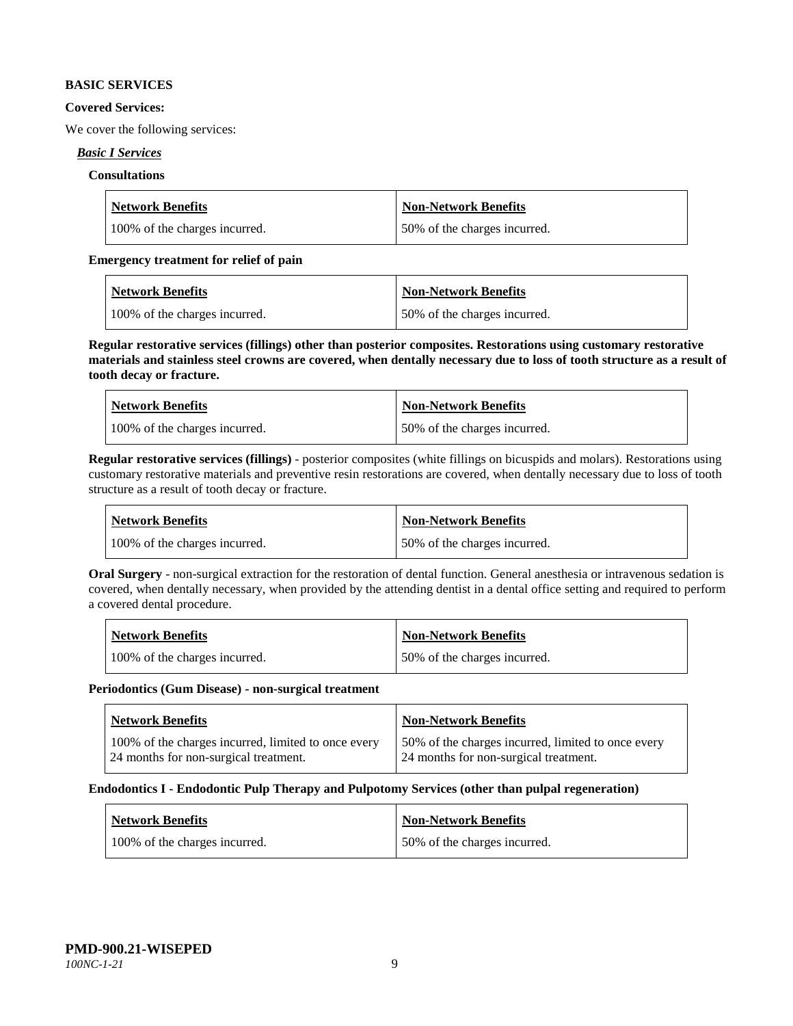#### **BASIC SERVICES**

#### **Covered Services:**

We cover the following services:

## *Basic I Services*

## **Consultations**

| <b>Network Benefits</b>       | Non-Network Benefits         |
|-------------------------------|------------------------------|
| 100% of the charges incurred. | 50% of the charges incurred. |

## **Emergency treatment for relief of pain**

| <b>Network Benefits</b>       | <b>Non-Network Benefits</b>  |
|-------------------------------|------------------------------|
| 100% of the charges incurred. | 50% of the charges incurred. |

**Regular restorative services (fillings) other than posterior composites. Restorations using customary restorative materials and stainless steel crowns are covered, when dentally necessary due to loss of tooth structure as a result of tooth decay or fracture.**

| <b>Network Benefits</b>       | <b>Non-Network Benefits</b>   |
|-------------------------------|-------------------------------|
| 100% of the charges incurred. | 150% of the charges incurred. |

**Regular restorative services (fillings)** - posterior composites (white fillings on bicuspids and molars). Restorations using customary restorative materials and preventive resin restorations are covered, when dentally necessary due to loss of tooth structure as a result of tooth decay or fracture.

| Network Benefits              | <b>Non-Network Benefits</b>  |
|-------------------------------|------------------------------|
| 100% of the charges incurred. | 50% of the charges incurred. |

**Oral Surgery** - non-surgical extraction for the restoration of dental function. General anesthesia or intravenous sedation is covered, when dentally necessary, when provided by the attending dentist in a dental office setting and required to perform a covered dental procedure.

| <b>Network Benefits</b>       | <b>Non-Network Benefits</b>  |
|-------------------------------|------------------------------|
| 100% of the charges incurred. | 50% of the charges incurred. |

#### **Periodontics (Gum Disease) - non-surgical treatment**

| Network Benefits                                                                             | <b>Non-Network Benefits</b>                                                                 |
|----------------------------------------------------------------------------------------------|---------------------------------------------------------------------------------------------|
| 100% of the charges incurred, limited to once every<br>24 months for non-surgical treatment. | 50% of the charges incurred, limited to once every<br>24 months for non-surgical treatment. |

#### **Endodontics I - Endodontic Pulp Therapy and Pulpotomy Services (other than pulpal regeneration)**

| <b>Network Benefits</b>       | <b>Non-Network Benefits</b>  |
|-------------------------------|------------------------------|
| 100% of the charges incurred. | 50% of the charges incurred. |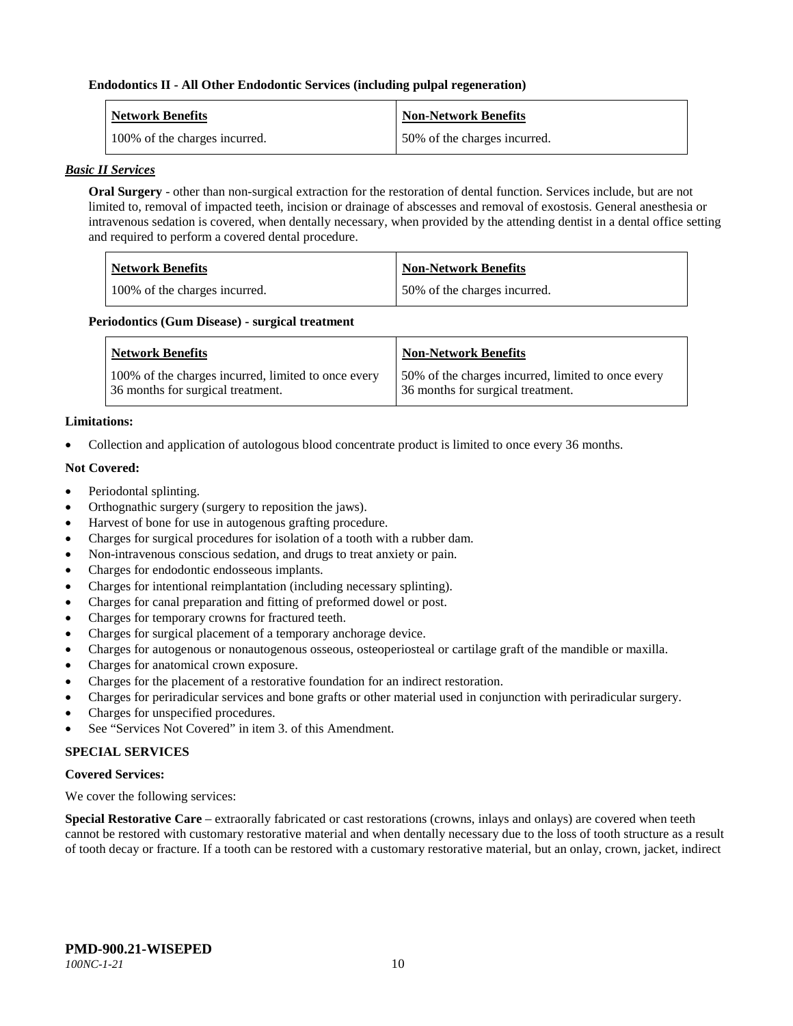#### **Endodontics II - All Other Endodontic Services (including pulpal regeneration)**

| <b>Network Benefits</b>       | <b>Non-Network Benefits</b>  |
|-------------------------------|------------------------------|
| 100% of the charges incurred. | 50% of the charges incurred. |

#### *Basic II Services*

**Oral Surgery** - other than non-surgical extraction for the restoration of dental function. Services include, but are not limited to, removal of impacted teeth, incision or drainage of abscesses and removal of exostosis. General anesthesia or intravenous sedation is covered, when dentally necessary, when provided by the attending dentist in a dental office setting and required to perform a covered dental procedure.

| Network Benefits              | Non-Network Benefits         |
|-------------------------------|------------------------------|
| 100% of the charges incurred. | 50% of the charges incurred. |

#### **Periodontics (Gum Disease) - surgical treatment**

| <b>Network Benefits</b>                                                                  | <b>Non-Network Benefits</b>                                                             |
|------------------------------------------------------------------------------------------|-----------------------------------------------------------------------------------------|
| 100% of the charges incurred, limited to once every<br>36 months for surgical treatment. | 50% of the charges incurred, limited to once every<br>36 months for surgical treatment. |

## **Limitations:**

• Collection and application of autologous blood concentrate product is limited to once every 36 months.

## **Not Covered:**

- Periodontal splinting.
- Orthognathic surgery (surgery to reposition the jaws).
- Harvest of bone for use in autogenous grafting procedure.
- Charges for surgical procedures for isolation of a tooth with a rubber dam.
- Non-intravenous conscious sedation, and drugs to treat anxiety or pain.
- Charges for endodontic endosseous implants.
- Charges for intentional reimplantation (including necessary splinting).
- Charges for canal preparation and fitting of preformed dowel or post.
- Charges for temporary crowns for fractured teeth.
- Charges for surgical placement of a temporary anchorage device.
- Charges for autogenous or nonautogenous osseous, osteoperiosteal or cartilage graft of the mandible or maxilla.
- Charges for anatomical crown exposure.
- Charges for the placement of a restorative foundation for an indirect restoration.
- Charges for periradicular services and bone grafts or other material used in conjunction with periradicular surgery.
- Charges for unspecified procedures.
- See "Services Not Covered" in item 3. of this Amendment.

# **SPECIAL SERVICES**

#### **Covered Services:**

We cover the following services:

**Special Restorative Care** – extraorally fabricated or cast restorations (crowns, inlays and onlays) are covered when teeth cannot be restored with customary restorative material and when dentally necessary due to the loss of tooth structure as a result of tooth decay or fracture. If a tooth can be restored with a customary restorative material, but an onlay, crown, jacket, indirect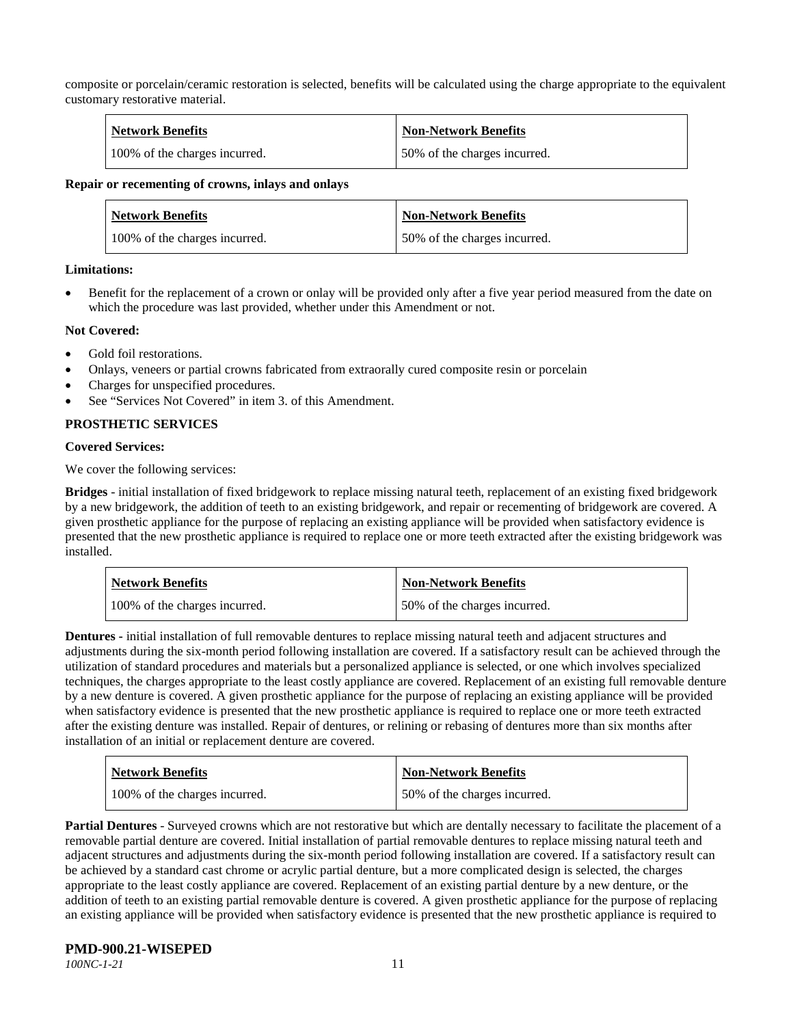composite or porcelain/ceramic restoration is selected, benefits will be calculated using the charge appropriate to the equivalent customary restorative material.

| <b>Network Benefits</b>       | <b>Non-Network Benefits</b>  |
|-------------------------------|------------------------------|
| 100% of the charges incurred. | 50% of the charges incurred. |

#### **Repair or recementing of crowns, inlays and onlays**

| <b>Network Benefits</b>       | <b>Non-Network Benefits</b>  |
|-------------------------------|------------------------------|
| 100% of the charges incurred. | 50% of the charges incurred. |

#### **Limitations:**

• Benefit for the replacement of a crown or onlay will be provided only after a five year period measured from the date on which the procedure was last provided, whether under this Amendment or not.

#### **Not Covered:**

- Gold foil restorations.
- Onlays, veneers or partial crowns fabricated from extraorally cured composite resin or porcelain
- Charges for unspecified procedures.
- See "Services Not Covered" in item 3, of this Amendment.

## **PROSTHETIC SERVICES**

#### **Covered Services:**

We cover the following services:

**Bridges** - initial installation of fixed bridgework to replace missing natural teeth, replacement of an existing fixed bridgework by a new bridgework, the addition of teeth to an existing bridgework, and repair or recementing of bridgework are covered. A given prosthetic appliance for the purpose of replacing an existing appliance will be provided when satisfactory evidence is presented that the new prosthetic appliance is required to replace one or more teeth extracted after the existing bridgework was installed.

| <b>Network Benefits</b>       | <b>Non-Network Benefits</b>  |
|-------------------------------|------------------------------|
| 100% of the charges incurred. | 50% of the charges incurred. |

**Dentures -** initial installation of full removable dentures to replace missing natural teeth and adjacent structures and adjustments during the six-month period following installation are covered. If a satisfactory result can be achieved through the utilization of standard procedures and materials but a personalized appliance is selected, or one which involves specialized techniques, the charges appropriate to the least costly appliance are covered. Replacement of an existing full removable denture by a new denture is covered. A given prosthetic appliance for the purpose of replacing an existing appliance will be provided when satisfactory evidence is presented that the new prosthetic appliance is required to replace one or more teeth extracted after the existing denture was installed. Repair of dentures, or relining or rebasing of dentures more than six months after installation of an initial or replacement denture are covered.

| <b>Network Benefits</b>       | <b>Non-Network Benefits</b>  |
|-------------------------------|------------------------------|
| 100% of the charges incurred. | 50% of the charges incurred. |

**Partial Dentures** - Surveyed crowns which are not restorative but which are dentally necessary to facilitate the placement of a removable partial denture are covered. Initial installation of partial removable dentures to replace missing natural teeth and adjacent structures and adjustments during the six-month period following installation are covered. If a satisfactory result can be achieved by a standard cast chrome or acrylic partial denture, but a more complicated design is selected, the charges appropriate to the least costly appliance are covered. Replacement of an existing partial denture by a new denture, or the addition of teeth to an existing partial removable denture is covered. A given prosthetic appliance for the purpose of replacing an existing appliance will be provided when satisfactory evidence is presented that the new prosthetic appliance is required to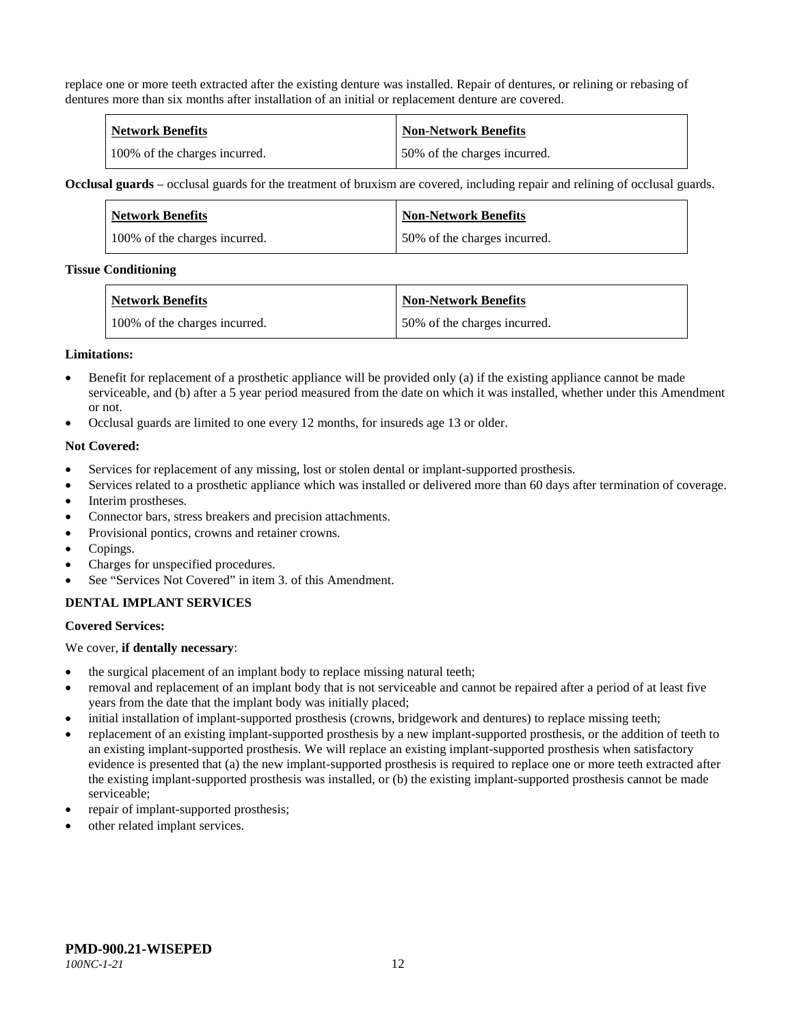replace one or more teeth extracted after the existing denture was installed. Repair of dentures, or relining or rebasing of dentures more than six months after installation of an initial or replacement denture are covered.

| <b>Network Benefits</b>       | Non-Network Benefits         |
|-------------------------------|------------------------------|
| 100% of the charges incurred. | 50% of the charges incurred. |

**Occlusal guards** – occlusal guards for the treatment of bruxism are covered, including repair and relining of occlusal guards.

| <b>Network Benefits</b>       | <b>Non-Network Benefits</b>  |
|-------------------------------|------------------------------|
| 100% of the charges incurred. | 50% of the charges incurred. |

#### **Tissue Conditioning**

| <b>Network Benefits</b>       | <b>Non-Network Benefits</b>  |
|-------------------------------|------------------------------|
| 100% of the charges incurred. | 50% of the charges incurred. |

#### **Limitations:**

- Benefit for replacement of a prosthetic appliance will be provided only (a) if the existing appliance cannot be made serviceable, and (b) after a 5 year period measured from the date on which it was installed, whether under this Amendment or not.
- Occlusal guards are limited to one every 12 months, for insureds age 13 or older.

#### **Not Covered:**

- Services for replacement of any missing, lost or stolen dental or implant-supported prosthesis.
- Services related to a prosthetic appliance which was installed or delivered more than 60 days after termination of coverage.
- Interim prostheses.
- Connector bars, stress breakers and precision attachments.
- Provisional pontics, crowns and retainer crowns.
- Copings.
- Charges for unspecified procedures.
- See "Services Not Covered" in item 3. of this Amendment.

#### **DENTAL IMPLANT SERVICES**

#### **Covered Services:**

We cover, **if dentally necessary**:

- the surgical placement of an implant body to replace missing natural teeth;
- removal and replacement of an implant body that is not serviceable and cannot be repaired after a period of at least five years from the date that the implant body was initially placed;
- initial installation of implant-supported prosthesis (crowns, bridgework and dentures) to replace missing teeth;
- replacement of an existing implant-supported prosthesis by a new implant-supported prosthesis, or the addition of teeth to an existing implant-supported prosthesis. We will replace an existing implant-supported prosthesis when satisfactory evidence is presented that (a) the new implant-supported prosthesis is required to replace one or more teeth extracted after the existing implant-supported prosthesis was installed, or (b) the existing implant-supported prosthesis cannot be made serviceable;
- repair of implant-supported prosthesis;
- other related implant services.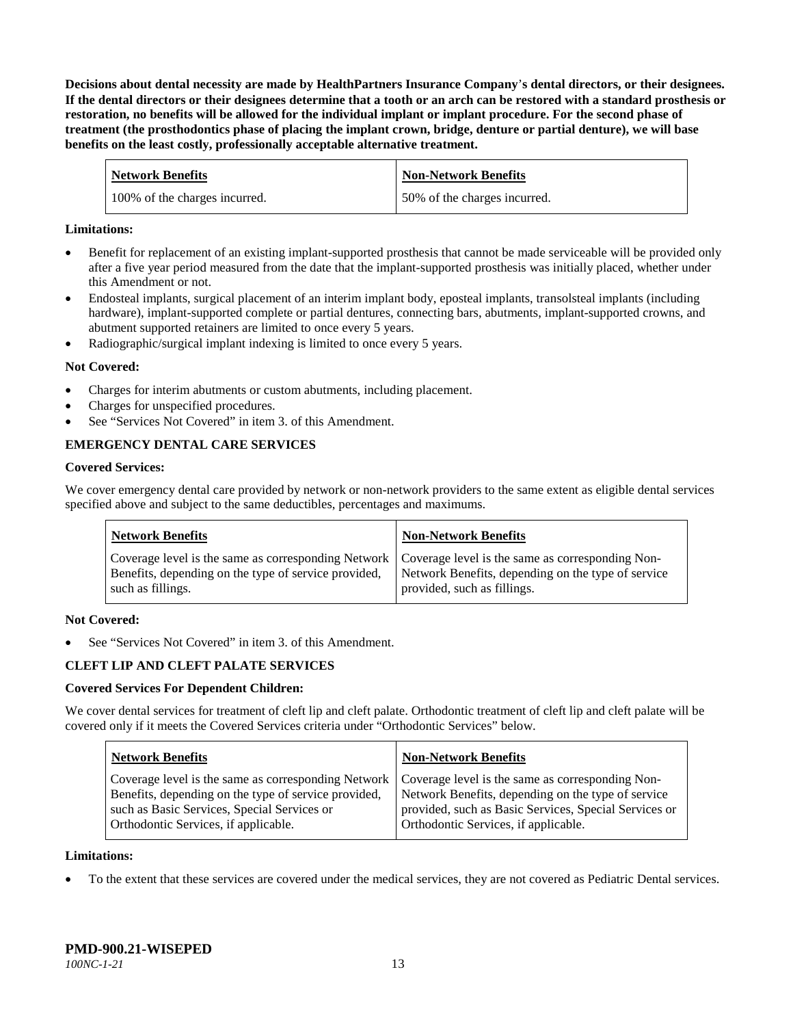**Decisions about dental necessity are made by HealthPartners Insurance Company**'**s dental directors, or their designees. If the dental directors or their designees determine that a tooth or an arch can be restored with a standard prosthesis or restoration, no benefits will be allowed for the individual implant or implant procedure. For the second phase of treatment (the prosthodontics phase of placing the implant crown, bridge, denture or partial denture), we will base benefits on the least costly, professionally acceptable alternative treatment.**

| <b>Network Benefits</b>       | <b>Non-Network Benefits</b>  |
|-------------------------------|------------------------------|
| 100% of the charges incurred. | 50% of the charges incurred. |

#### **Limitations:**

- Benefit for replacement of an existing implant-supported prosthesis that cannot be made serviceable will be provided only after a five year period measured from the date that the implant-supported prosthesis was initially placed, whether under this Amendment or not.
- Endosteal implants, surgical placement of an interim implant body, eposteal implants, transolsteal implants (including hardware), implant-supported complete or partial dentures, connecting bars, abutments, implant-supported crowns, and abutment supported retainers are limited to once every 5 years.
- Radiographic/surgical implant indexing is limited to once every 5 years.

## **Not Covered:**

- Charges for interim abutments or custom abutments, including placement.
- Charges for unspecified procedures.
- See "Services Not Covered" in item 3. of this Amendment.

# **EMERGENCY DENTAL CARE SERVICES**

#### **Covered Services:**

We cover emergency dental care provided by network or non-network providers to the same extent as eligible dental services specified above and subject to the same deductibles, percentages and maximums.

| <b>Network Benefits</b>                                                                                                                                                             | <b>Non-Network Benefits</b>                                                       |
|-------------------------------------------------------------------------------------------------------------------------------------------------------------------------------------|-----------------------------------------------------------------------------------|
| Coverage level is the same as corresponding Network   Coverage level is the same as corresponding Non-<br>Benefits, depending on the type of service provided,<br>such as fillings. | Network Benefits, depending on the type of service<br>provided, such as fillings. |

#### **Not Covered:**

See "Services Not Covered" in item 3. of this Amendment.

# **CLEFT LIP AND CLEFT PALATE SERVICES**

#### **Covered Services For Dependent Children:**

We cover dental services for treatment of cleft lip and cleft palate. Orthodontic treatment of cleft lip and cleft palate will be covered only if it meets the Covered Services criteria under "Orthodontic Services" below.

| <b>Network Benefits</b>                                                                                                                                                                                                                               | <b>Non-Network Benefits</b>                                                                                                                         |
|-------------------------------------------------------------------------------------------------------------------------------------------------------------------------------------------------------------------------------------------------------|-----------------------------------------------------------------------------------------------------------------------------------------------------|
| Coverage level is the same as corresponding Network   Coverage level is the same as corresponding Non-<br>Benefits, depending on the type of service provided,<br>such as Basic Services, Special Services or<br>Orthodontic Services, if applicable. | Network Benefits, depending on the type of service<br>provided, such as Basic Services, Special Services or<br>Orthodontic Services, if applicable. |

#### **Limitations:**

• To the extent that these services are covered under the medical services, they are not covered as Pediatric Dental services.